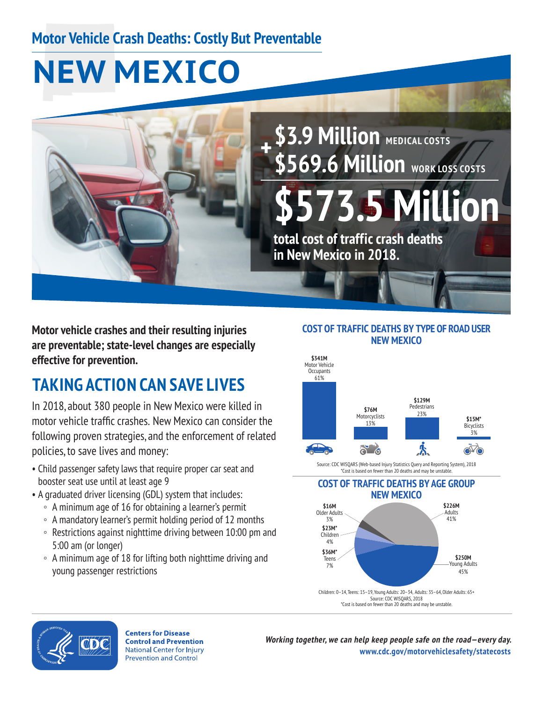## **Motor Vehicle Crash Deaths: Costly But Preventable**

# **NEW MEXICO**



**\$3.9 Million** medical costs **\$569.6 Million** work LOSS COSTS

**\$573.5 Million total cost of traffic crash deaths** 

**in New Mexico in 2018.** 

**Motor vehicle crashes and their resulting injuries are preventable; state-level changes are especially effective for prevention.** 

# **TAKING ACTION CAN SAVE LIVES**

 motor vehicle traffic crashes. New Mexico can consider the In 2018, about 380 people in New Mexico were killed in following proven strategies, and the enforcement of related policies, to save lives and money:

- Child passenger safety laws that require proper car seat and booster seat use until at least age 9
- A graduated driver licensing (GDL) system that includes:
	- A minimum age of 16 for obtaining a learner's permit
	- A mandatory learner's permit holding period of 12 months
	- Restrictions against nighttime driving between 10:00 pm and 5:00 am (or longer)
	- A minimum age of 18 for lifting both nighttime driving and young passenger restrictions

#### **COST OF TRAFFIC DEATHS BY TYPE OF ROAD USER NEW MEXICO**



Source: CDC WISQARS (Web-based Injury Statistics Query and Reporting System), 2018 \*Cost is based on fewer than 20 deaths and may be unstable.

#### **COST OF TRAFFIC DEATHS BY AGE GROUP NEW MEXICO**





**Centers for Disease Control and Prevention National Center for Injury Prevention and Control** 

**Working together, we can help keep people safe on the road—every day. [www.cdc.gov/motorvehiclesafety/statecosts](http://www.cdc.gov/motorvehiclesafety/statecosts)**